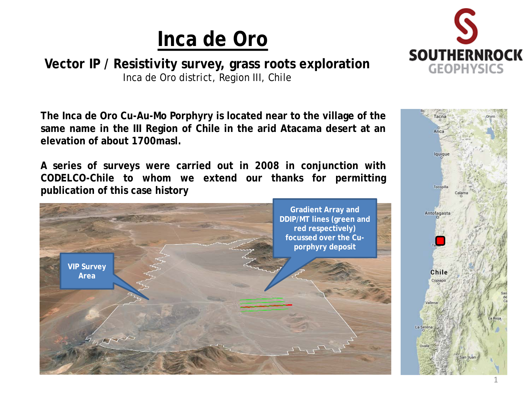**Vector IP / Resistivity survey, grass roots exploration** Inca de Oro district, Region III, Chile





**The Inca de Oro Cu-Au-Mo Porphyry is located near to the village of the same name in the III Region of Chile in the arid Atacama desert at an elevation of about 1700masl.**

**A series of surveys were carried out in 2008 in conjunction with CODELCO-Chile to whom we extend our thanks for permitting publication of this case history**

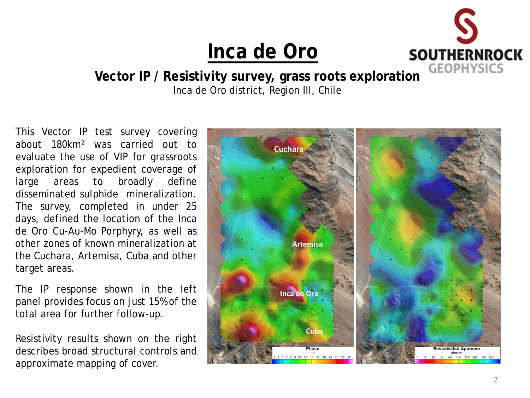

**Vector IP / Resistivity survey, grass roots exploration** Inca de Oro district, Region III, Chile

This Vector IP test survey covering about 180km2 was carried out to evaluate the use of VIP for grassroots exploration for expedient coverage of large areas to broadly define disseminated sulphide mineralization. The survey, completed in under 25 days, defined the location of the Inca de Oro Cu-Au-Mo Porphyry, as well as other zones of known mineralization at the Cuchara, Artemisa, Cuba and other target areas.

The IP response shown in the left panel provides focus on just 15% of the total area for further follow-up.

Resistivity results shown on the right describes broad structural controls and approximate mapping of cover.

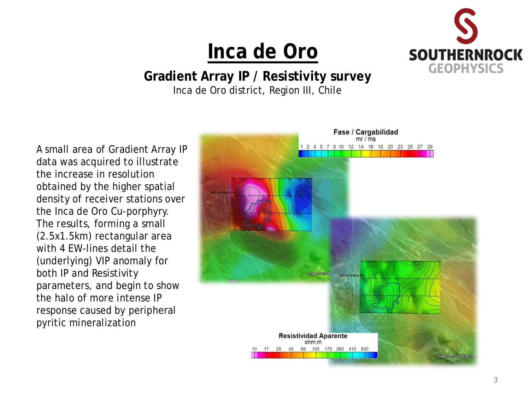

**Gradient Array IP / Resistivity survey** Inca de Oro district, Region III, Chile

A small area of Gradient Array IP data was acquired to illustrate the increase in resolution obtained by the higher spatial density of receiver stations over the Inca de Oro Cu-porphyry. The results, forming a small (2.5x1.5km) rectangular area with 4 EW-lines detail the (underlying) VIP anomaly for both IP and Resistivity parameters, and begin to show the halo of more intense IP response caused by peripheral pyritic mineralization

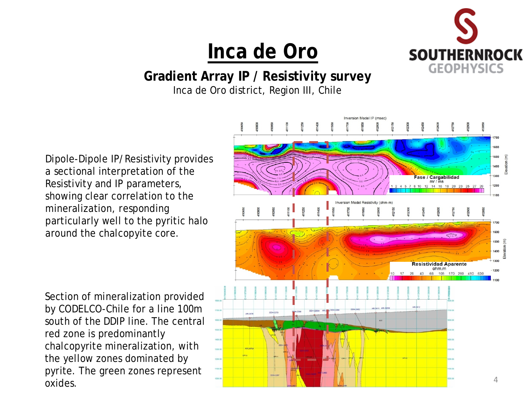

#### **Gradient Array IP / Resistivity survey**

Inca de Oro district, Region III, Chile

Dipole-Dipole IP/Resistivity provides a sectional interpretation of the Resistivity and IP parameters, showing clear correlation to the mineralization, responding particularly well to the pyritic halo around the chalcopyite core.

Section of mineralization provided by CODELCO-Chile for a line 100m south of the DDIP line. The central red zone is predominantly chalcopyrite mineralization, with the yellow zones dominated by pyrite. The green zones represent oxides.